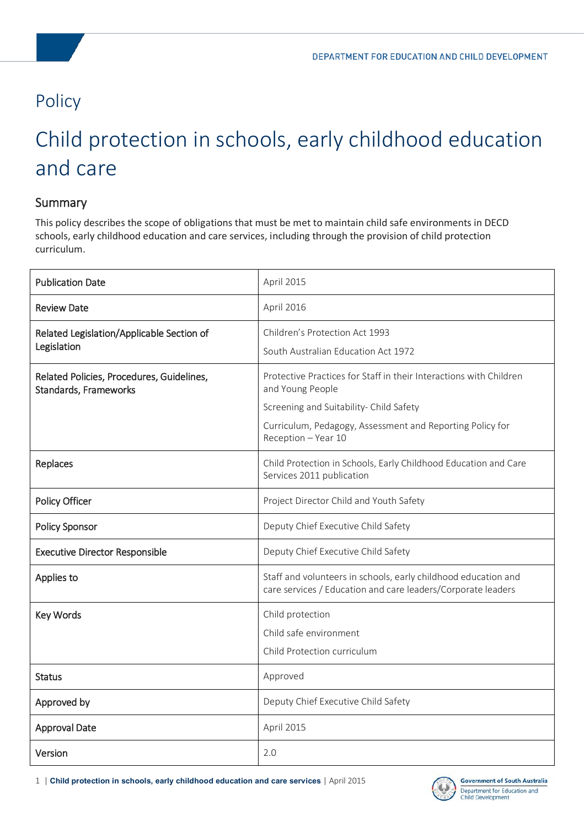# Policy

# Child protection in schools, early childhood education and care

### **Summary**

This policy describes the scope of obligations that must be met to maintain child safe environments in DECD schools, early childhood education and care services, including through the provision of child protection curriculum.

| <b>Publication Date</b>                                            | April 2015                                                                                                                                                                                                            |
|--------------------------------------------------------------------|-----------------------------------------------------------------------------------------------------------------------------------------------------------------------------------------------------------------------|
| <b>Review Date</b>                                                 | April 2016                                                                                                                                                                                                            |
| Related Legislation/Applicable Section of<br>Legislation           | Children's Protection Act 1993<br>South Australian Education Act 1972                                                                                                                                                 |
| Related Policies, Procedures, Guidelines,<br>Standards, Frameworks | Protective Practices for Staff in their Interactions with Children<br>and Young People<br>Screening and Suitability- Child Safety<br>Curriculum, Pedagogy, Assessment and Reporting Policy for<br>Reception - Year 10 |
| Replaces                                                           | Child Protection in Schools, Early Childhood Education and Care<br>Services 2011 publication                                                                                                                          |
| Policy Officer                                                     | Project Director Child and Youth Safety                                                                                                                                                                               |
| <b>Policy Sponsor</b>                                              | Deputy Chief Executive Child Safety                                                                                                                                                                                   |
| <b>Executive Director Responsible</b>                              | Deputy Chief Executive Child Safety                                                                                                                                                                                   |
| Applies to                                                         | Staff and volunteers in schools, early childhood education and<br>care services / Education and care leaders/Corporate leaders                                                                                        |
| <b>Key Words</b>                                                   | Child protection<br>Child safe environment<br>Child Protection curriculum                                                                                                                                             |
| <b>Status</b>                                                      | Approved                                                                                                                                                                                                              |
| Approved by                                                        | Deputy Chief Executive Child Safety                                                                                                                                                                                   |
| <b>Approval Date</b>                                               | April 2015                                                                                                                                                                                                            |
| Version                                                            | 2.0                                                                                                                                                                                                                   |

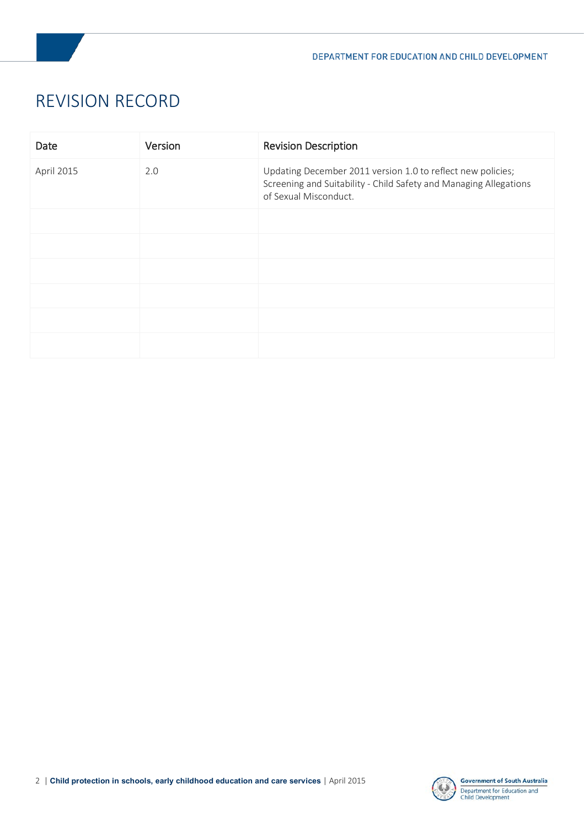## REVISION RECORD

| Date       | Version | <b>Revision Description</b>                                                                                                                               |
|------------|---------|-----------------------------------------------------------------------------------------------------------------------------------------------------------|
| April 2015 | 2.0     | Updating December 2011 version 1.0 to reflect new policies;<br>Screening and Suitability - Child Safety and Managing Allegations<br>of Sexual Misconduct. |
|            |         |                                                                                                                                                           |
|            |         |                                                                                                                                                           |
|            |         |                                                                                                                                                           |
|            |         |                                                                                                                                                           |
|            |         |                                                                                                                                                           |
|            |         |                                                                                                                                                           |

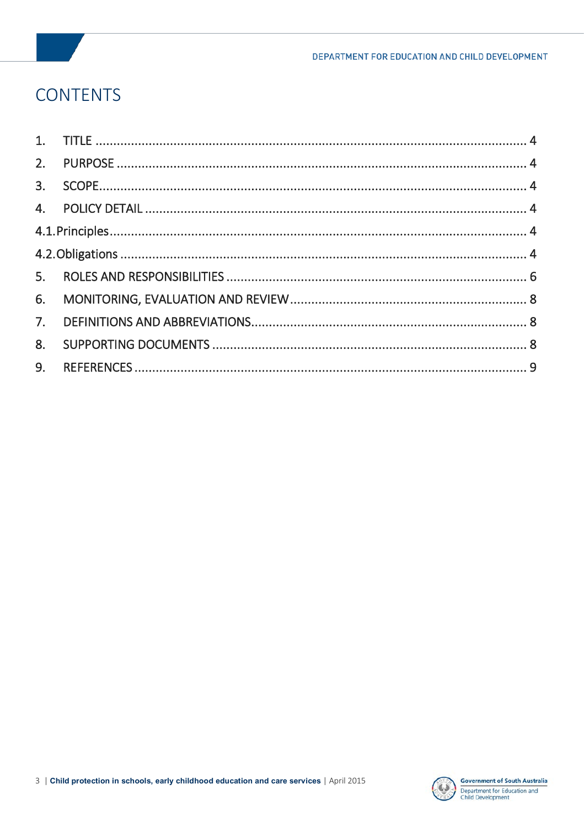## **CONTENTS**

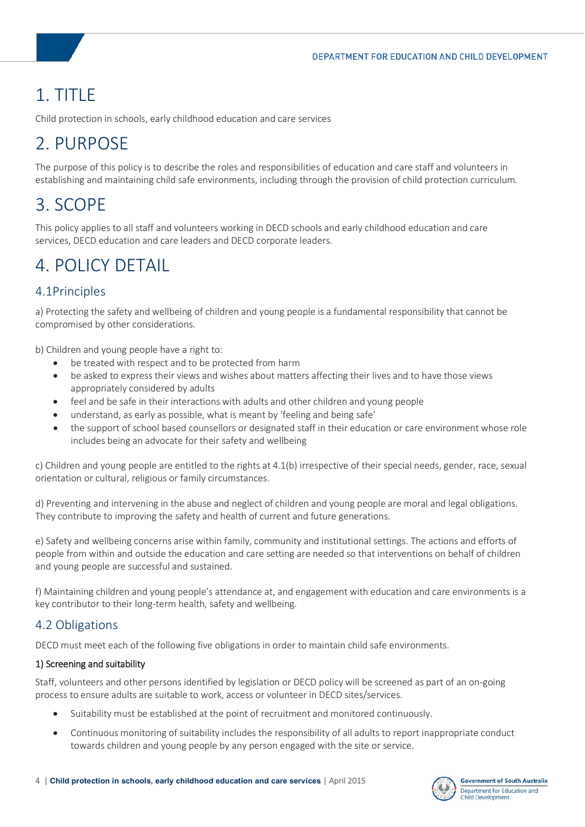# 1. TITLE

Child protection in schools, early childhood education and care services

# 2. PURPOSE

The purpose of this policy is to describe the roles and responsibilities of education and care staff and volunteers in establishing and maintaining child safe environments, including through the provision of child protection curriculum.

## 3. SCOPE

This policy applies to all staff and volunteers working in DECD schools and early childhood education and care services, DECD education and care leaders and DECD corporate leaders.

# 4. POLICY DETAIL

### 4.1Principles

a) Protecting the safety and wellbeing of children and young people is a fundamental responsibility that cannot be compromised by other considerations.

b) Children and young people have a right to:

- be treated with respect and to be protected from harm
- be asked to express their views and wishes about matters affecting their lives and to have those views appropriately considered by adults
- feel and be safe in their interactions with adults and other children and young people
- understand, as early as possible, what is meant by 'feeling and being safe'
- the support of school based counsellors or designated staff in their education or care environment whose role includes being an advocate for their safety and wellbeing

c) Children and young people are entitled to the rights at 4.1(b) irrespective of their special needs, gender, race, sexual orientation or cultural, religious or family circumstances.

d) Preventing and intervening in the abuse and neglect of children and young people are moral and legal obligations. They contribute to improving the safety and health of current and future generations.

e) Safety and wellbeing concerns arise within family, community and institutional settings. The actions and efforts of people from within and outside the education and care setting are needed so that interventions on behalf of children and young people are successful and sustained.

f) Maintaining children and young people's attendance at, and engagement with education and care environments is a key contributor to their long-term health, safety and wellbeing.

### 4.2 Obligations

DECD must meet each of the following five obligations in order to maintain child safe environments.

#### 1) Screening and suitability

Staff, volunteers and other persons identified by legislation or DECD policy will be screened as part of an on-going process to ensure adults are suitable to work, access or volunteer in DECD sites/services.

- Suitability must be established at the point of recruitment and monitored continuously.
- Continuous monitoring of suitability includes the responsibility of all adults to report inappropriate conduct towards children and young people by any person engaged with the site or service.

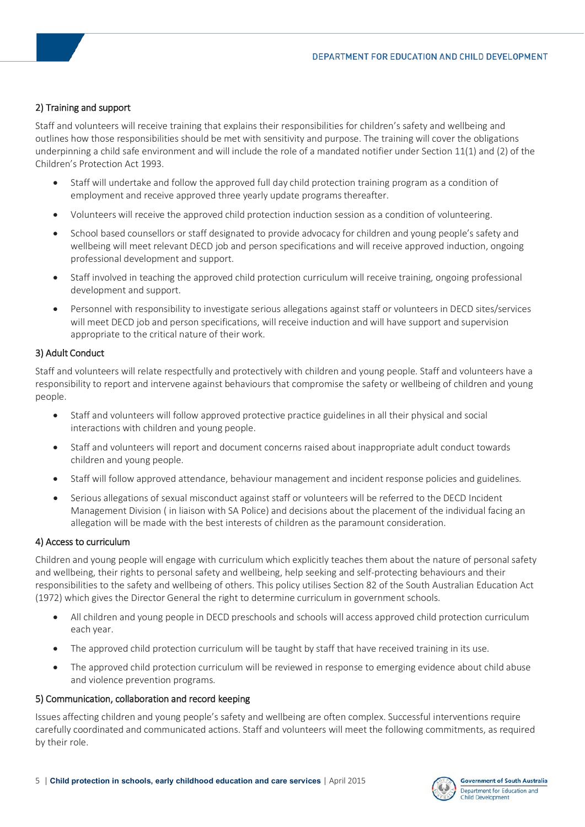#### 2) Training and support

Staff and volunteers will receive training that explains their responsibilities for children's safety and wellbeing and outlines how those responsibilities should be met with sensitivity and purpose. The training will cover the obligations underpinning a child safe environment and will include the role of a mandated notifier under Section 11(1) and (2) of the Children's Protection Act 1993.

- Staff will undertake and follow the approved full day child protection training program as a condition of employment and receive approved three yearly update programs thereafter.
- Volunteers will receive the approved child protection induction session as a condition of volunteering.
- School based counsellors or staff designated to provide advocacy for children and young people's safety and wellbeing will meet relevant DECD job and person specifications and will receive approved induction, ongoing professional development and support.
- Staff involved in teaching the approved child protection curriculum will receive training, ongoing professional development and support.
- Personnel with responsibility to investigate serious allegations against staff or volunteers in DECD sites/services will meet DECD job and person specifications, will receive induction and will have support and supervision appropriate to the critical nature of their work.

#### 3) Adult Conduct

Staff and volunteers will relate respectfully and protectively with children and young people. Staff and volunteers have a responsibility to report and intervene against behaviours that compromise the safety or wellbeing of children and young people.

- Staff and volunteers will follow approved protective practice guidelines in all their physical and social interactions with children and young people.
- Staff and volunteers will report and document concerns raised about inappropriate adult conduct towards children and young people.
- Staff will follow approved attendance, behaviour management and incident response policies and guidelines.
- Serious allegations of sexual misconduct against staff or volunteers will be referred to the DECD Incident Management Division ( in liaison with SA Police) and decisions about the placement of the individual facing an allegation will be made with the best interests of children as the paramount consideration.

#### 4) Access to curriculum

Children and young people will engage with curriculum which explicitly teaches them about the nature of personal safety and wellbeing, their rights to personal safety and wellbeing, help seeking and self-protecting behaviours and their responsibilities to the safety and wellbeing of others. This policy utilises Section 82 of the South Australian Education Act (1972) which gives the Director General the right to determine curriculum in government schools.

- All children and young people in DECD preschools and schools will access approved child protection curriculum each year.
- The approved child protection curriculum will be taught by staff that have received training in its use.
- The approved child protection curriculum will be reviewed in response to emerging evidence about child abuse and violence prevention programs.

#### 5) Communication, collaboration and record keeping

Issues affecting children and young people's safety and wellbeing are often complex. Successful interventions require carefully coordinated and communicated actions. Staff and volunteers will meet the following commitments, as required by their role.

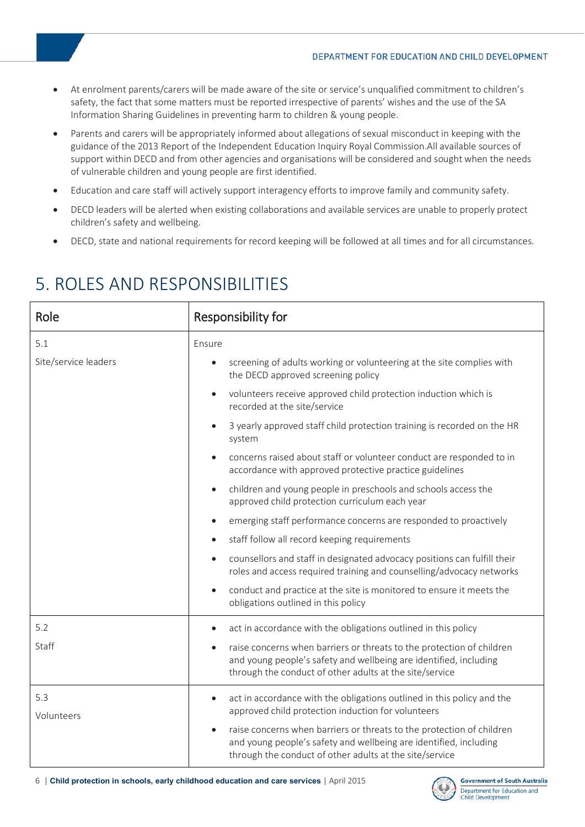#### DEPARTMENT FOR EDUCATION AND CHILD DEVELOPMENT

- At enrolment parents/carers will be made aware of the site or service's unqualified commitment to children's safety, the fact that some matters must be reported irrespective of parents' wishes and the use of the SA Information Sharing Guidelines in preventing harm to children & young people.
- Parents and carers will be appropriately informed about allegations of sexual misconduct in keeping with the guidance of the 2013 Report of the Independent Education Inquiry Royal Commission.All available sources of support within DECD and from other agencies and organisations will be considered and sought when the needs of vulnerable children and young people are first identified.
- Education and care staff will actively support interagency efforts to improve family and community safety.
- DECD leaders will be alerted when existing collaborations and available services are unable to properly protect children's safety and wellbeing.
- DECD, state and national requirements for record keeping will be followed at all times and for all circumstances.

| Role                        | <b>Responsibility for</b>                                                                                                                                                                                                                                                                                                                                                                                                                                                                                                                                                                                                                                                                                                                                                                                                                                                                                                                                                                                                                                                        |
|-----------------------------|----------------------------------------------------------------------------------------------------------------------------------------------------------------------------------------------------------------------------------------------------------------------------------------------------------------------------------------------------------------------------------------------------------------------------------------------------------------------------------------------------------------------------------------------------------------------------------------------------------------------------------------------------------------------------------------------------------------------------------------------------------------------------------------------------------------------------------------------------------------------------------------------------------------------------------------------------------------------------------------------------------------------------------------------------------------------------------|
| 5.1<br>Site/service leaders | Ensure<br>screening of adults working or volunteering at the site complies with<br>$\bullet$<br>the DECD approved screening policy<br>volunteers receive approved child protection induction which is<br>$\bullet$<br>recorded at the site/service<br>3 yearly approved staff child protection training is recorded on the HR<br>$\bullet$<br>system<br>concerns raised about staff or volunteer conduct are responded to in<br>$\bullet$<br>accordance with approved protective practice guidelines<br>children and young people in preschools and schools access the<br>$\bullet$<br>approved child protection curriculum each year<br>emerging staff performance concerns are responded to proactively<br>$\bullet$<br>staff follow all record keeping requirements<br>$\bullet$<br>counsellors and staff in designated advocacy positions can fulfill their<br>$\bullet$<br>roles and access required training and counselling/advocacy networks<br>conduct and practice at the site is monitored to ensure it meets the<br>$\bullet$<br>obligations outlined in this policy |
| 5.2<br>Staff                | act in accordance with the obligations outlined in this policy<br>$\bullet$<br>raise concerns when barriers or threats to the protection of children<br>and young people's safety and wellbeing are identified, including<br>through the conduct of other adults at the site/service                                                                                                                                                                                                                                                                                                                                                                                                                                                                                                                                                                                                                                                                                                                                                                                             |
| 5.3<br>Volunteers           | act in accordance with the obligations outlined in this policy and the<br>$\bullet$<br>approved child protection induction for volunteers<br>raise concerns when barriers or threats to the protection of children<br>and young people's safety and wellbeing are identified, including<br>through the conduct of other adults at the site/service                                                                                                                                                                                                                                                                                                                                                                                                                                                                                                                                                                                                                                                                                                                               |

## 5. ROLES AND RESPONSIBILITIES

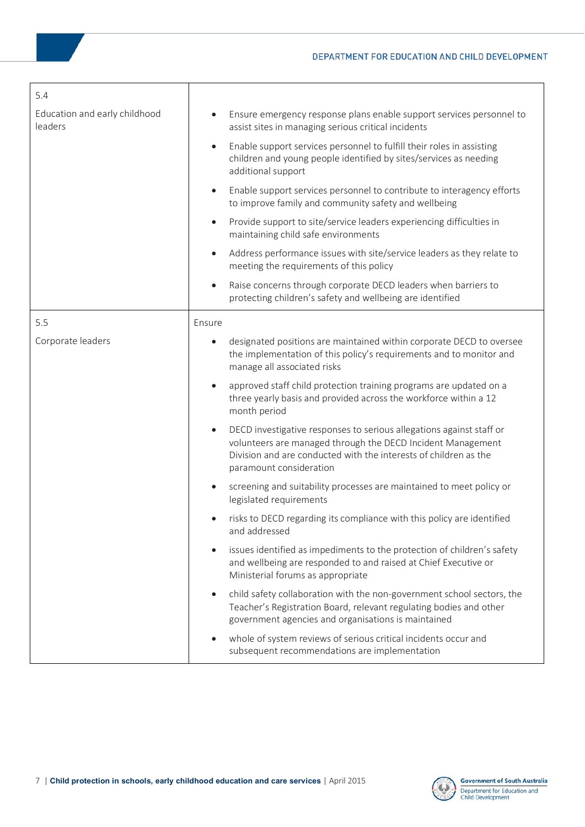#### DEPARTMENT FOR EDUCATION AND CHILD DEVELOPMENT

| 5.4                                      |                                                                                                                                                                                                                                                 |
|------------------------------------------|-------------------------------------------------------------------------------------------------------------------------------------------------------------------------------------------------------------------------------------------------|
| Education and early childhood<br>leaders | Ensure emergency response plans enable support services personnel to<br>$\bullet$<br>assist sites in managing serious critical incidents                                                                                                        |
|                                          | Enable support services personnel to fulfill their roles in assisting<br>$\bullet$<br>children and young people identified by sites/services as needing<br>additional support                                                                   |
|                                          | Enable support services personnel to contribute to interagency efforts<br>$\bullet$<br>to improve family and community safety and wellbeing                                                                                                     |
|                                          | Provide support to site/service leaders experiencing difficulties in<br>$\bullet$<br>maintaining child safe environments                                                                                                                        |
|                                          | Address performance issues with site/service leaders as they relate to<br>$\bullet$<br>meeting the requirements of this policy                                                                                                                  |
|                                          | Raise concerns through corporate DECD leaders when barriers to<br>$\bullet$<br>protecting children's safety and wellbeing are identified                                                                                                        |
| 5.5                                      | Ensure                                                                                                                                                                                                                                          |
| Corporate leaders                        | designated positions are maintained within corporate DECD to oversee<br>$\bullet$<br>the implementation of this policy's requirements and to monitor and<br>manage all associated risks                                                         |
|                                          | approved staff child protection training programs are updated on a<br>$\bullet$<br>three yearly basis and provided across the workforce within a 12<br>month period                                                                             |
|                                          | DECD investigative responses to serious allegations against staff or<br>$\bullet$<br>volunteers are managed through the DECD Incident Management<br>Division and are conducted with the interests of children as the<br>paramount consideration |
|                                          | screening and suitability processes are maintained to meet policy or<br>$\bullet$<br>legislated requirements                                                                                                                                    |
|                                          | risks to DECD regarding its compliance with this policy are identified<br>$\bullet$<br>and addressed                                                                                                                                            |
|                                          | issues identified as impediments to the protection of children's safety<br>$\bullet$<br>and wellbeing are responded to and raised at Chief Executive or<br>Ministerial forums as appropriate                                                    |
|                                          | child safety collaboration with the non-government school sectors, the<br>$\bullet$<br>Teacher's Registration Board, relevant regulating bodies and other<br>government agencies and organisations is maintained                                |
|                                          | whole of system reviews of serious critical incidents occur and<br>$\bullet$<br>subsequent recommendations are implementation                                                                                                                   |

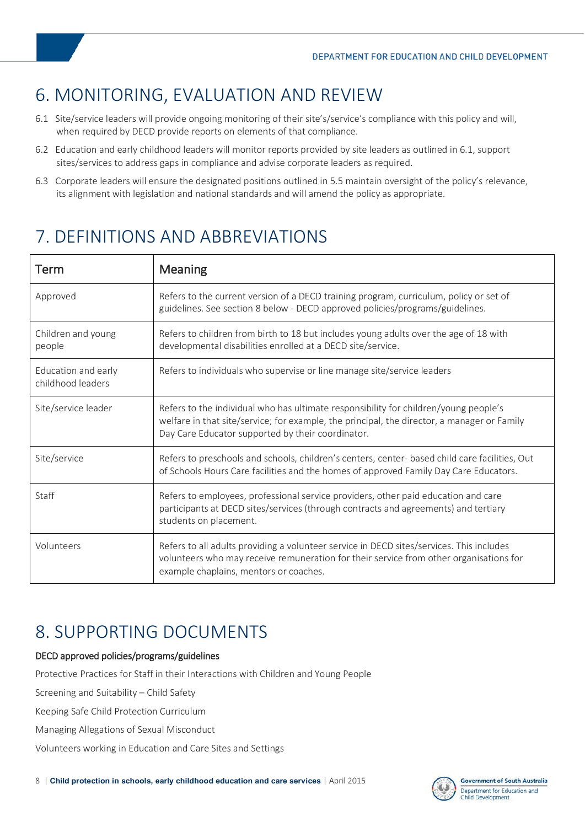# 6. MONITORING, EVALUATION AND REVIEW

- 6.1 Site/service leaders will provide ongoing monitoring of their site's/service's compliance with this policy and will, when required by DECD provide reports on elements of that compliance.
- 6.2 Education and early childhood leaders will monitor reports provided by site leaders as outlined in 6.1, support sites/services to address gaps in compliance and advise corporate leaders as required.
- 6.3 Corporate leaders will ensure the designated positions outlined in 5.5 maintain oversight of the policy's relevance, its alignment with legislation and national standards and will amend the policy as appropriate.

# 7. DEFINITIONS AND ABBREVIATIONS

| Term                                     | Meaning                                                                                                                                                                                                                                  |
|------------------------------------------|------------------------------------------------------------------------------------------------------------------------------------------------------------------------------------------------------------------------------------------|
| Approved                                 | Refers to the current version of a DECD training program, curriculum, policy or set of<br>guidelines. See section 8 below - DECD approved policies/programs/guidelines.                                                                  |
| Children and young<br>people             | Refers to children from birth to 18 but includes young adults over the age of 18 with<br>developmental disabilities enrolled at a DECD site/service.                                                                                     |
| Education and early<br>childhood leaders | Refers to individuals who supervise or line manage site/service leaders                                                                                                                                                                  |
| Site/service leader                      | Refers to the individual who has ultimate responsibility for children/young people's<br>welfare in that site/service; for example, the principal, the director, a manager or Family<br>Day Care Educator supported by their coordinator. |
| Site/service                             | Refers to preschools and schools, children's centers, center- based child care facilities, Out<br>of Schools Hours Care facilities and the homes of approved Family Day Care Educators.                                                  |
| Staff                                    | Refers to employees, professional service providers, other paid education and care<br>participants at DECD sites/services (through contracts and agreements) and tertiary<br>students on placement.                                      |
| Volunteers                               | Refers to all adults providing a volunteer service in DECD sites/services. This includes<br>volunteers who may receive remuneration for their service from other organisations for<br>example chaplains, mentors or coaches.             |

# 8. SUPPORTING DOCUMENTS

#### DECD approved policies/programs/guidelines

Protective Practices for Staff in their Interactions with Children and Young People

Screening and Suitability – Child Safety

Keeping Safe Child Protection Curriculum

Managing Allegations of Sexual Misconduct

Volunteers working in Education and Care Sites and Settings